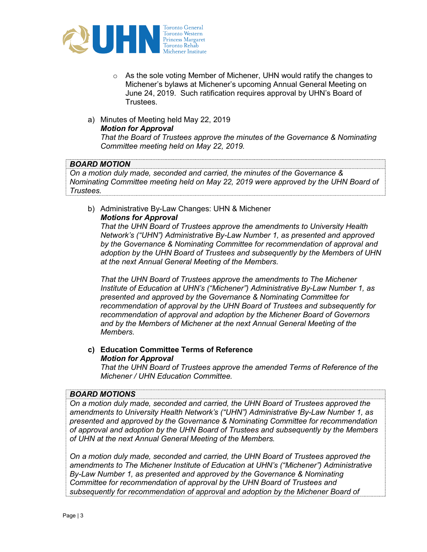

- o As the sole voting Member of Michener, UHN would ratify the changes to Michener's bylaws at Michener's upcoming Annual General Meeting on June 24, 2019. Such ratification requires approval by UHN's Board of **Trustees**
- a) Minutes of Meeting held May 22, 2019 Motion for Approval

That the Board of Trustees approve the minutes of the Governance & Nominating Committee meeting held on May 22, 2019.

### BOARD MOTION

On a motion duly made, seconded and carried, the minutes of the Governance & Nominating Committee meeting held on May 22, 2019 were approved by the UHN Board of Trustees.

b) Administrative By-Law Changes: UHN & Michener Motions for Approval

That the UHN Board of Trustees approve the amendments to University Health Network's ("UHN") Administrative By-Law Number 1, as presented and approved by the Governance & Nominating Committee for recommendation of approval and adoption by the UHN Board of Trustees and subsequently by the Members of UHN at the next Annual General Meeting of the Members.

That the UHN Board of Trustees approve the amendments to The Michener Institute of Education at UHN's ("Michener") Administrative By-Law Number 1, as presented and approved by the Governance & Nominating Committee for recommendation of approval by the UHN Board of Trustees and subsequently for recommendation of approval and adoption by the Michener Board of Governors and by the Members of Michener at the next Annual General Meeting of the Members.

c) Education Committee Terms of Reference Motion for Approval

That the UHN Board of Trustees approve the amended Terms of Reference of the Michener / UHN Education Committee.

#### BOARD MOTIONS

On a motion duly made, seconded and carried, the UHN Board of Trustees approved the amendments to University Health Network's ("UHN") Administrative By-Law Number 1, as presented and approved by the Governance & Nominating Committee for recommendation of approval and adoption by the UHN Board of Trustees and subsequently by the Members of UHN at the next Annual General Meeting of the Members.

On a motion duly made, seconded and carried, the UHN Board of Trustees approved the amendments to The Michener Institute of Education at UHN's ("Michener") Administrative By-Law Number 1, as presented and approved by the Governance & Nominating Committee for recommendation of approval by the UHN Board of Trustees and subsequently for recommendation of approval and adoption by the Michener Board of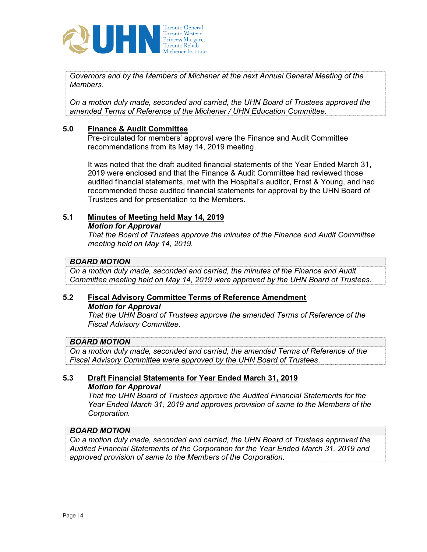

Governors and by the Members of Michener at the next Annual General Meeting of the Members.

On a motion duly made, seconded and carried, the UHN Board of Trustees approved the amended Terms of Reference of the Michener / UHN Education Committee.

# 5.0 Finance & Audit Committee

Pre-circulated for members' approval were the Finance and Audit Committee recommendations from its May 14, 2019 meeting.

It was noted that the draft audited financial statements of the Year Ended March 31, 2019 were enclosed and that the Finance & Audit Committee had reviewed those audited financial statements, met with the Hospital's auditor, Ernst & Young, and had recommended those audited financial statements for approval by the UHN Board of Trustees and for presentation to the Members.

# 5.1 Minutes of Meeting held May 14, 2019

Motion for Approval

That the Board of Trustees approve the minutes of the Finance and Audit Committee meeting held on May 14, 2019.

# BOARD MOTION

On a motion duly made, seconded and carried, the minutes of the Finance and Audit Committee meeting held on May 14, 2019 were approved by the UHN Board of Trustees.

# 5.2 Fiscal Advisory Committee Terms of Reference Amendment Motion for Approval

That the UHN Board of Trustees approve the amended Terms of Reference of the Fiscal Advisory Committee.

#### BOARD MOTION

On a motion duly made, seconded and carried, the amended Terms of Reference of the Fiscal Advisory Committee were approved by the UHN Board of Trustees.

# 5.3 Draft Financial Statements for Year Ended March 31, 2019 Motion for Approval

That the UHN Board of Trustees approve the Audited Financial Statements for the Year Ended March 31, 2019 and approves provision of same to the Members of the Corporation.

#### BOARD MOTION

On a motion duly made, seconded and carried, the UHN Board of Trustees approved the Audited Financial Statements of the Corporation for the Year Ended March 31, 2019 and approved provision of same to the Members of the Corporation.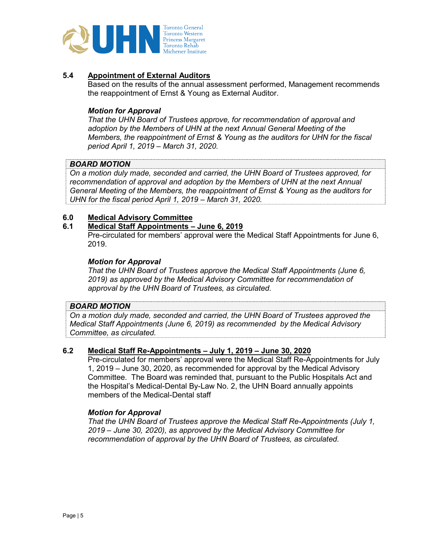

# 5.4 Appointment of External Auditors

Based on the results of the annual assessment performed, Management recommends the reappointment of Ernst & Young as External Auditor.

#### Motion for Approval

That the UHN Board of Trustees approve, for recommendation of approval and adoption by the Members of UHN at the next Annual General Meeting of the Members, the reappointment of Ernst & Young as the auditors for UHN for the fiscal period April 1, 2019 – March 31, 2020.

### BOARD MOTION

On a motion duly made, seconded and carried, the UHN Board of Trustees approved, for recommendation of approval and adoption by the Members of UHN at the next Annual General Meeting of the Members, the reappointment of Ernst & Young as the auditors for UHN for the fiscal period April 1, 2019 – March 31, 2020.

# 6.0 Medical Advisory Committee<br>6.1 Medical Staff Appointments -

#### 6.1 Medical Staff Appointments – June 6, 2019

Pre-circulated for members' approval were the Medical Staff Appointments for June 6, 2019.

#### Motion for Approval

That the UHN Board of Trustees approve the Medical Staff Appointments (June 6, 2019) as approved by the Medical Advisory Committee for recommendation of approval by the UHN Board of Trustees, as circulated.

#### BOARD MOTION

On a motion duly made, seconded and carried, the UHN Board of Trustees approved the Medical Staff Appointments (June 6, 2019) as recommended by the Medical Advisory Committee, as circulated.

#### 6.2 Medical Staff Re-Appointments – July 1, 2019 – June 30, 2020

Pre-circulated for members' approval were the Medical Staff Re-Appointments for July 1, 2019 – June 30, 2020, as recommended for approval by the Medical Advisory Committee. The Board was reminded that, pursuant to the Public Hospitals Act and the Hospital's Medical-Dental By-Law No. 2, the UHN Board annually appoints members of the Medical-Dental staff

#### Motion for Approval

That the UHN Board of Trustees approve the Medical Staff Re-Appointments (July 1, 2019 – June 30, 2020), as approved by the Medical Advisory Committee for recommendation of approval by the UHN Board of Trustees, as circulated.